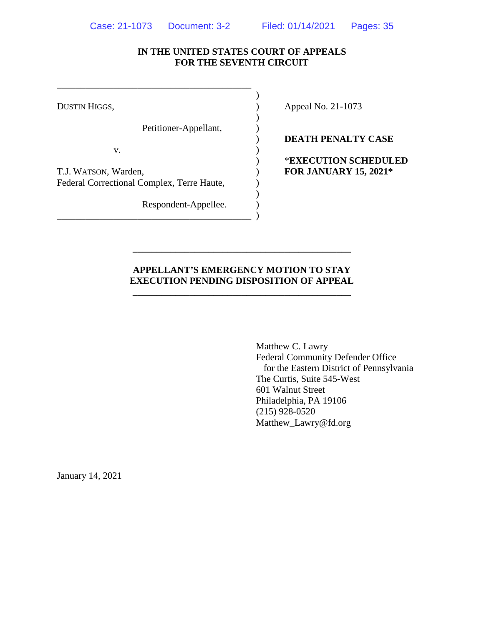## **IN THE UNITED STATES COURT OF APPEALS FOR THE SEVENTH CIRCUIT**

)

)

)

Petitioner-Appellant,

 $\mathbf{v}$ .

T.J. WATSON, Warden, ) **FOR JANUARY 15, 2021\*** Federal Correctional Complex, Terre Haute,

\_\_\_\_\_\_\_\_\_\_\_\_\_\_\_\_\_\_\_\_\_\_\_\_\_\_\_\_\_\_\_\_\_\_\_\_\_\_\_\_\_ )

\_\_\_\_\_\_\_\_\_\_\_\_\_\_\_\_\_\_\_\_\_\_\_\_\_\_\_\_\_\_\_\_\_\_\_\_\_\_\_\_\_

Respondent-Appellee.  $)$ 

DUSTIN HIGGS,  $\qquad \qquad$  Appeal No. 21-1073

) **DEATH PENALTY CASE**

) \***EXECUTION SCHEDULED**

## **APPELLANT'S EMERGENCY MOTION TO STAY EXECUTION PENDING DISPOSITION OF APPEAL**

**\_\_\_\_\_\_\_\_\_\_\_\_\_\_\_\_\_\_\_\_\_\_\_\_\_\_\_\_\_\_\_\_\_\_\_\_\_\_\_\_\_\_\_\_\_\_**

**\_\_\_\_\_\_\_\_\_\_\_\_\_\_\_\_\_\_\_\_\_\_\_\_\_\_\_\_\_\_\_\_\_\_\_\_\_\_\_\_\_\_\_\_\_\_**

Matthew C. Lawry Federal Community Defender Office for the Eastern District of Pennsylvania The Curtis, Suite 545-West 601 Walnut Street Philadelphia, PA 19106 (215) 928-0520 Matthew\_Lawry@fd.org

January 14, 2021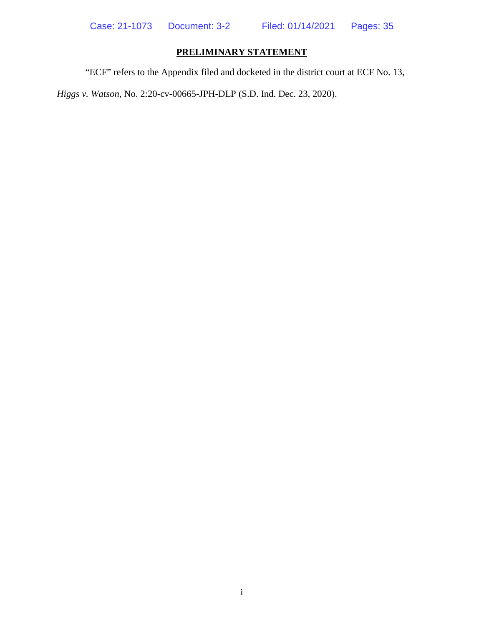## **PRELIMINARY STATEMENT**

<span id="page-1-0"></span>"ECF" refers to the Appendix filed and docketed in the district court at ECF No. 13,

*Higgs v. Watson*, No. 2:20-cv-00665-JPH-DLP (S.D. Ind. Dec. 23, 2020).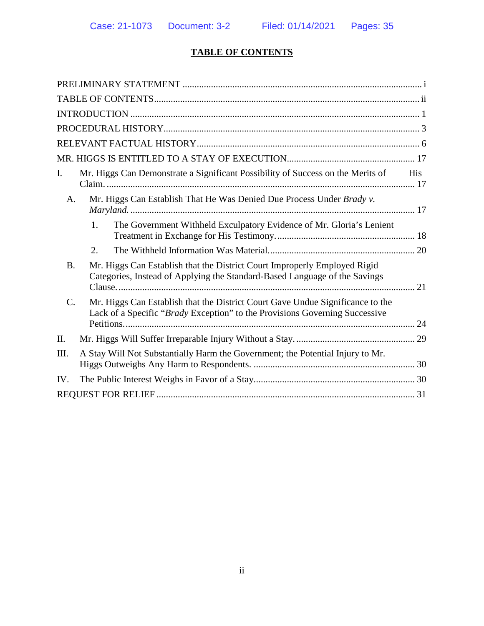# **TABLE OF CONTENTS**

<span id="page-2-0"></span>

| I.              | Mr. Higgs Can Demonstrate a Significant Possibility of Success on the Merits of                                                                               | His |
|-----------------|---------------------------------------------------------------------------------------------------------------------------------------------------------------|-----|
| A.              | Mr. Higgs Can Establish That He Was Denied Due Process Under Brady v.                                                                                         |     |
|                 | The Government Withheld Exculpatory Evidence of Mr. Gloria's Lenient<br>1.                                                                                    |     |
|                 | 2.                                                                                                                                                            |     |
| <b>B.</b>       | Mr. Higgs Can Establish that the District Court Improperly Employed Rigid<br>Categories, Instead of Applying the Standard-Based Language of the Savings       | 21  |
| $\mathcal{C}$ . | Mr. Higgs Can Establish that the District Court Gave Undue Significance to the<br>Lack of a Specific "Brady Exception" to the Provisions Governing Successive |     |
| Π.              |                                                                                                                                                               |     |
| Ш.              | A Stay Will Not Substantially Harm the Government; the Potential Injury to Mr.                                                                                |     |
| IV.             |                                                                                                                                                               |     |
|                 |                                                                                                                                                               |     |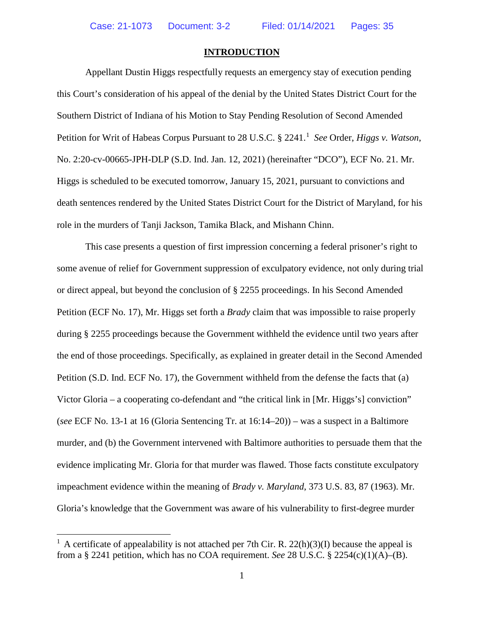#### **INTRODUCTION**

<span id="page-3-0"></span>Appellant Dustin Higgs respectfully requests an emergency stay of execution pending this Court's consideration of his appeal of the denial by the United States District Court for the Southern District of Indiana of his Motion to Stay Pending Resolution of Second Amended Petition for Writ of Habeas Corpus Pursuant to 28 U.S.C. § 224[1](#page-3-1).<sup>1</sup> *See* Order, *Higgs v. Watson*, No. 2:20-cv-00665-JPH-DLP (S.D. Ind. Jan. 12, 2021) (hereinafter "DCO"), ECF No. 21. Mr. Higgs is scheduled to be executed tomorrow, January 15, 2021, pursuant to convictions and death sentences rendered by the United States District Court for the District of Maryland, for his role in the murders of Tanji Jackson, Tamika Black, and Mishann Chinn.

This case presents a question of first impression concerning a federal prisoner's right to some avenue of relief for Government suppression of exculpatory evidence, not only during trial or direct appeal, but beyond the conclusion of § 2255 proceedings. In his Second Amended Petition (ECF No. 17), Mr. Higgs set forth a *Brady* claim that was impossible to raise properly during § 2255 proceedings because the Government withheld the evidence until two years after the end of those proceedings. Specifically, as explained in greater detail in the Second Amended Petition (S.D. Ind. ECF No. 17), the Government withheld from the defense the facts that (a) Victor Gloria – a cooperating co-defendant and "the critical link in [Mr. Higgs's] conviction" (*see* ECF No. 13-1 at 16 (Gloria Sentencing Tr. at 16:14–20)) – was a suspect in a Baltimore murder, and (b) the Government intervened with Baltimore authorities to persuade them that the evidence implicating Mr. Gloria for that murder was flawed. Those facts constitute exculpatory impeachment evidence within the meaning of *Brady v. Maryland*, 373 U.S. 83, 87 (1963). Mr. Gloria's knowledge that the Government was aware of his vulnerability to first-degree murder

<span id="page-3-1"></span><sup>&</sup>lt;sup>1</sup> A certificate of appealability is not attached per 7th Cir. R. 22(h)(3)(I) because the appeal is from a § 2241 petition, which has no COA requirement. *See* 28 U.S.C. § 2254(c)(1)(A)–(B).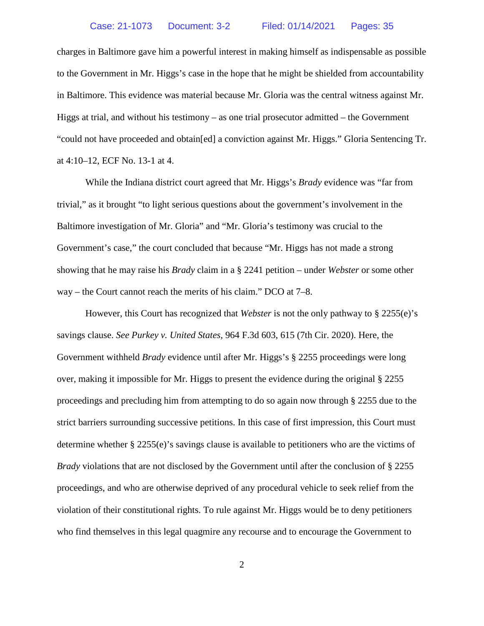charges in Baltimore gave him a powerful interest in making himself as indispensable as possible to the Government in Mr. Higgs's case in the hope that he might be shielded from accountability in Baltimore. This evidence was material because Mr. Gloria was the central witness against Mr. Higgs at trial, and without his testimony – as one trial prosecutor admitted – the Government "could not have proceeded and obtain[ed] a conviction against Mr. Higgs." Gloria Sentencing Tr. at 4:10–12, ECF No. 13-1 at 4.

While the Indiana district court agreed that Mr. Higgs's *Brady* evidence was "far from trivial," as it brought "to light serious questions about the government's involvement in the Baltimore investigation of Mr. Gloria" and "Mr. Gloria's testimony was crucial to the Government's case," the court concluded that because "Mr. Higgs has not made a strong showing that he may raise his *Brady* claim in a § 2241 petition – under *Webster* or some other way – the Court cannot reach the merits of his claim." DCO at 7–8.

However, this Court has recognized that *Webster* is not the only pathway to § 2255(e)'s savings clause. *See Purkey v. United States*, 964 F.3d 603, 615 (7th Cir. 2020). Here, the Government withheld *Brady* evidence until after Mr. Higgs's § 2255 proceedings were long over, making it impossible for Mr. Higgs to present the evidence during the original § 2255 proceedings and precluding him from attempting to do so again now through § 2255 due to the strict barriers surrounding successive petitions. In this case of first impression, this Court must determine whether  $\S 2255(e)$ 's savings clause is available to petitioners who are the victims of *Brady* violations that are not disclosed by the Government until after the conclusion of § 2255 proceedings, and who are otherwise deprived of any procedural vehicle to seek relief from the violation of their constitutional rights. To rule against Mr. Higgs would be to deny petitioners who find themselves in this legal quagmire any recourse and to encourage the Government to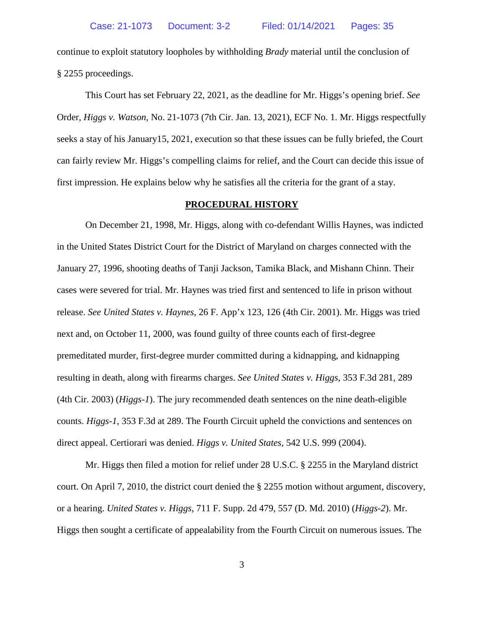continue to exploit statutory loopholes by withholding *Brady* material until the conclusion of § 2255 proceedings.

This Court has set February 22, 2021, as the deadline for Mr. Higgs's opening brief. *See* Order, *Higgs v. Watson*, No. 21-1073 (7th Cir. Jan. 13, 2021), ECF No. 1. Mr. Higgs respectfully seeks a stay of his January15, 2021, execution so that these issues can be fully briefed, the Court can fairly review Mr. Higgs's compelling claims for relief, and the Court can decide this issue of first impression. He explains below why he satisfies all the criteria for the grant of a stay.

#### **PROCEDURAL HISTORY**

<span id="page-5-0"></span>On December 21, 1998, Mr. Higgs, along with co-defendant Willis Haynes, was indicted in the United States District Court for the District of Maryland on charges connected with the January 27, 1996, shooting deaths of Tanji Jackson, Tamika Black, and Mishann Chinn. Their cases were severed for trial. Mr. Haynes was tried first and sentenced to life in prison without release. *See United States v. Haynes*, 26 F. App'x 123, 126 (4th Cir. 2001). Mr. Higgs was tried next and, on October 11, 2000, was found guilty of three counts each of first-degree premeditated murder, first-degree murder committed during a kidnapping, and kidnapping resulting in death, along with firearms charges. *See United States v. Higgs*, 353 F.3d 281, 289 (4th Cir. 2003) (*Higgs-1*). The jury recommended death sentences on the nine death-eligible counts. *Higgs-1*, 353 F.3d at 289. The Fourth Circuit upheld the convictions and sentences on direct appeal. Certiorari was denied. *Higgs v. United States*, 542 U.S. 999 (2004).

Mr. Higgs then filed a motion for relief under 28 U.S.C. § 2255 in the Maryland district court. On April 7, 2010, the district court denied the § 2255 motion without argument, discovery, or a hearing. *United States v. Higgs*, 711 F. Supp. 2d 479, 557 (D. Md. 2010) (*Higgs-2*). Mr. Higgs then sought a certificate of appealability from the Fourth Circuit on numerous issues. The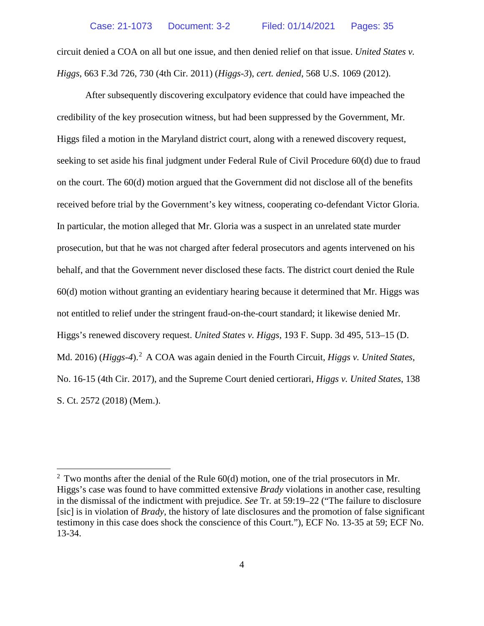circuit denied a COA on all but one issue, and then denied relief on that issue. *United States v. Higgs*, 663 F.3d 726, 730 (4th Cir. 2011) (*Higgs-3*), *cert. denied*, 568 U.S. 1069 (2012).

After subsequently discovering exculpatory evidence that could have impeached the credibility of the key prosecution witness, but had been suppressed by the Government, Mr. Higgs filed a motion in the Maryland district court, along with a renewed discovery request, seeking to set aside his final judgment under Federal Rule of Civil Procedure 60(d) due to fraud on the court. The 60(d) motion argued that the Government did not disclose all of the benefits received before trial by the Government's key witness, cooperating co-defendant Victor Gloria. In particular, the motion alleged that Mr. Gloria was a suspect in an unrelated state murder prosecution, but that he was not charged after federal prosecutors and agents intervened on his behalf, and that the Government never disclosed these facts. The district court denied the Rule 60(d) motion without granting an evidentiary hearing because it determined that Mr. Higgs was not entitled to relief under the stringent fraud-on-the-court standard; it likewise denied Mr. Higgs's renewed discovery request. *United States v. Higgs*, 193 F. Supp. 3d 495, 513–15 (D. Md. [2](#page-6-0)016) (*Higgs-4*).<sup>2</sup> A COA was again denied in the Fourth Circuit, *Higgs v. United States*, No. 16-15 (4th Cir. 2017), and the Supreme Court denied certiorari, *Higgs v. United States*, 138 S. Ct. 2572 (2018) (Mem.).

<span id="page-6-0"></span> $2$  Two months after the denial of the Rule 60(d) motion, one of the trial prosecutors in Mr. Higgs's case was found to have committed extensive *Brady* violations in another case, resulting in the dismissal of the indictment with prejudice. *See* Tr. at 59:19–22 ("The failure to disclosure [sic] is in violation of *Brady*, the history of late disclosures and the promotion of false significant testimony in this case does shock the conscience of this Court."), ECF No. 13-35 at 59; ECF No. 13-34.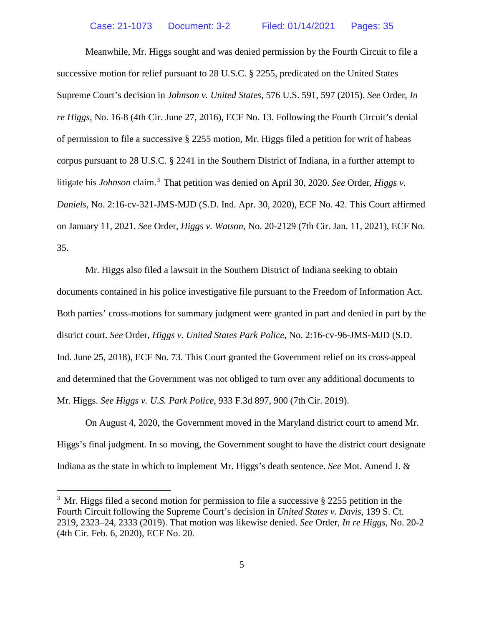Meanwhile, Mr. Higgs sought and was denied permission by the Fourth Circuit to file a successive motion for relief pursuant to 28 U.S.C. § 2255, predicated on the United States Supreme Court's decision in *Johnson v. United States*, 576 U.S. 591, 597 (2015). *See* Order, *In re Higgs*, No. 16-8 (4th Cir. June 27, 2016), ECF No. 13. Following the Fourth Circuit's denial of permission to file a successive § 2255 motion, Mr. Higgs filed a petition for writ of habeas corpus pursuant to 28 U.S.C. § 2241 in the Southern District of Indiana, in a further attempt to litigate his *Johnson* claim.<sup>[3](#page-7-0)</sup> That petition was denied on April 30, 2020. *See* Order, *Higgs v. Daniels*, No. 2:16-cv-321-JMS-MJD (S.D. Ind. Apr. 30, 2020), ECF No. 42. This Court affirmed on January 11, 2021. *See* Order, *Higgs v. Watson*, No. 20-2129 (7th Cir. Jan. 11, 2021), ECF No. 35.

Mr. Higgs also filed a lawsuit in the Southern District of Indiana seeking to obtain documents contained in his police investigative file pursuant to the Freedom of Information Act. Both parties' cross-motions for summary judgment were granted in part and denied in part by the district court. *See* Order, *Higgs v. United States Park Police*, No. 2:16-cv-96-JMS-MJD (S.D. Ind. June 25, 2018), ECF No. 73. This Court granted the Government relief on its cross-appeal and determined that the Government was not obliged to turn over any additional documents to Mr. Higgs. *See Higgs v. U.S. Park Police*, 933 F.3d 897, 900 (7th Cir. 2019).

On August 4, 2020, the Government moved in the Maryland district court to amend Mr. Higgs's final judgment. In so moving, the Government sought to have the district court designate Indiana as the state in which to implement Mr. Higgs's death sentence. *See* Mot. Amend J. &

<span id="page-7-0"></span><sup>&</sup>lt;sup>3</sup> Mr. Higgs filed a second motion for permission to file a successive  $\S$  2255 petition in the Fourth Circuit following the Supreme Court's decision in *United States v. Davis*, 139 S. Ct. 2319, 2323–24, 2333 (2019). That motion was likewise denied. *See* Order, *In re Higgs*, No. 20-2 (4th Cir. Feb. 6, 2020), ECF No. 20.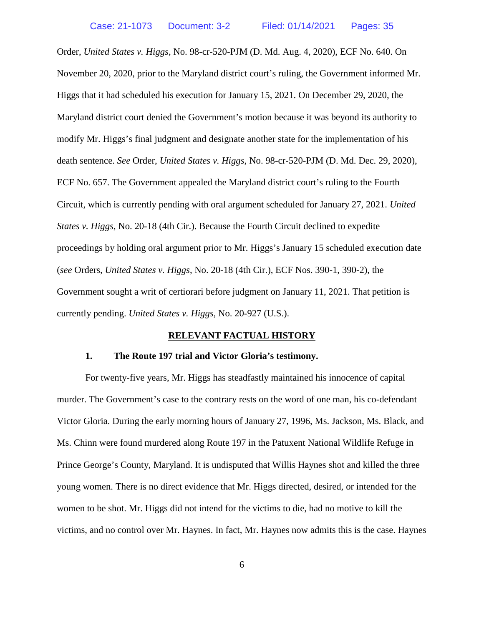Order, *United States v. Higgs*, No. 98-cr-520-PJM (D. Md. Aug. 4, 2020), ECF No. 640. On November 20, 2020, prior to the Maryland district court's ruling, the Government informed Mr. Higgs that it had scheduled his execution for January 15, 2021. On December 29, 2020, the Maryland district court denied the Government's motion because it was beyond its authority to modify Mr. Higgs's final judgment and designate another state for the implementation of his death sentence. *See* Order, *United States v. Higgs*, No. 98-cr-520-PJM (D. Md. Dec. 29, 2020), ECF No. 657. The Government appealed the Maryland district court's ruling to the Fourth Circuit, which is currently pending with oral argument scheduled for January 27, 2021. *United States v. Higgs*, No. 20-18 (4th Cir.). Because the Fourth Circuit declined to expedite proceedings by holding oral argument prior to Mr. Higgs's January 15 scheduled execution date (*see* Orders, *United States v. Higgs*, No. 20-18 (4th Cir.), ECF Nos. 390-1, 390-2), the Government sought a writ of certiorari before judgment on January 11, 2021. That petition is currently pending. *United States v. Higgs*, No. 20-927 (U.S.).

#### **RELEVANT FACTUAL HISTORY**

#### <span id="page-8-0"></span>**1. The Route 197 trial and Victor Gloria's testimony.**

For twenty-five years, Mr. Higgs has steadfastly maintained his innocence of capital murder. The Government's case to the contrary rests on the word of one man, his co-defendant Victor Gloria. During the early morning hours of January 27, 1996, Ms. Jackson, Ms. Black, and Ms. Chinn were found murdered along Route 197 in the Patuxent National Wildlife Refuge in Prince George's County, Maryland. It is undisputed that Willis Haynes shot and killed the three young women. There is no direct evidence that Mr. Higgs directed, desired, or intended for the women to be shot. Mr. Higgs did not intend for the victims to die, had no motive to kill the victims, and no control over Mr. Haynes. In fact, Mr. Haynes now admits this is the case. Haynes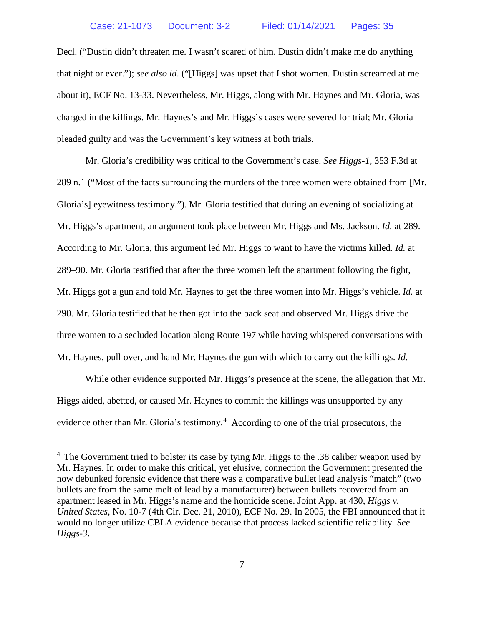Decl. ("Dustin didn't threaten me. I wasn't scared of him. Dustin didn't make me do anything that night or ever."); *see also id*. ("[Higgs] was upset that I shot women. Dustin screamed at me about it), ECF No. 13-33. Nevertheless, Mr. Higgs, along with Mr. Haynes and Mr. Gloria, was charged in the killings. Mr. Haynes's and Mr. Higgs's cases were severed for trial; Mr. Gloria pleaded guilty and was the Government's key witness at both trials.

Mr. Gloria's credibility was critical to the Government's case. *See Higgs-1*, 353 F.3d at 289 n.1 ("Most of the facts surrounding the murders of the three women were obtained from [Mr. Gloria's] eyewitness testimony."). Mr. Gloria testified that during an evening of socializing at Mr. Higgs's apartment, an argument took place between Mr. Higgs and Ms. Jackson. *Id.* at 289. According to Mr. Gloria, this argument led Mr. Higgs to want to have the victims killed. *Id.* at 289–90. Mr. Gloria testified that after the three women left the apartment following the fight, Mr. Higgs got a gun and told Mr. Haynes to get the three women into Mr. Higgs's vehicle. *Id.* at 290. Mr. Gloria testified that he then got into the back seat and observed Mr. Higgs drive the three women to a secluded location along Route 197 while having whispered conversations with Mr. Haynes, pull over, and hand Mr. Haynes the gun with which to carry out the killings. *Id.*

While other evidence supported Mr. Higgs's presence at the scene, the allegation that Mr. Higgs aided, abetted, or caused Mr. Haynes to commit the killings was unsupported by any evidence other than Mr. Gloria's testimony.<sup>[4](#page-9-0)</sup> According to one of the trial prosecutors, the

<span id="page-9-0"></span><sup>&</sup>lt;sup>4</sup> The Government tried to bolster its case by tying Mr. Higgs to the .38 caliber weapon used by Mr. Haynes. In order to make this critical, yet elusive, connection the Government presented the now debunked forensic evidence that there was a comparative bullet lead analysis "match" (two bullets are from the same melt of lead by a manufacturer) between bullets recovered from an apartment leased in Mr. Higgs's name and the homicide scene. Joint App. at 430, *Higgs v. United States*, No. 10-7 (4th Cir. Dec. 21, 2010), ECF No. 29. In 2005, the FBI announced that it would no longer utilize CBLA evidence because that process lacked scientific reliability. *See Higgs-3*.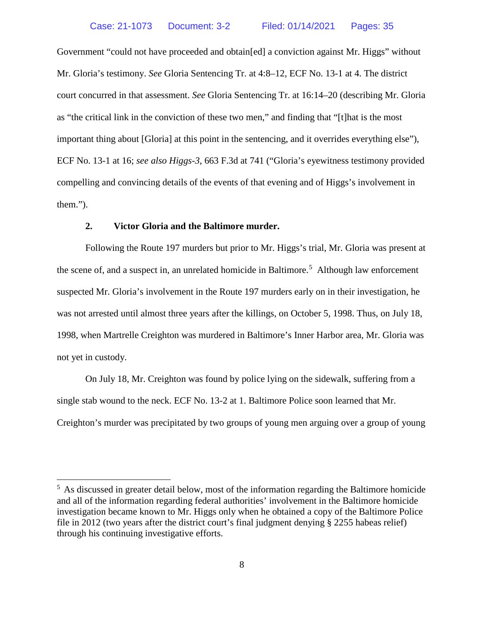Government "could not have proceeded and obtain[ed] a conviction against Mr. Higgs" without Mr. Gloria's testimony. *See* Gloria Sentencing Tr. at 4:8–12, ECF No. 13-1 at 4. The district court concurred in that assessment. *See* Gloria Sentencing Tr. at 16:14–20 (describing Mr. Gloria as "the critical link in the conviction of these two men," and finding that "[t]hat is the most important thing about [Gloria] at this point in the sentencing, and it overrides everything else"), ECF No. 13-1 at 16; *see also Higgs-3*, 663 F.3d at 741 ("Gloria's eyewitness testimony provided compelling and convincing details of the events of that evening and of Higgs's involvement in them.").

## **2. Victor Gloria and the Baltimore murder.**

Following the Route 197 murders but prior to Mr. Higgs's trial, Mr. Gloria was present at the scene of, and a suspect in, an unrelated homicide in Baltimore.<sup>[5](#page-10-0)</sup> Although law enforcement suspected Mr. Gloria's involvement in the Route 197 murders early on in their investigation, he was not arrested until almost three years after the killings, on October 5, 1998. Thus, on July 18, 1998, when Martrelle Creighton was murdered in Baltimore's Inner Harbor area, Mr. Gloria was not yet in custody.

On July 18, Mr. Creighton was found by police lying on the sidewalk, suffering from a single stab wound to the neck. ECF No. 13-2 at 1. Baltimore Police soon learned that Mr. Creighton's murder was precipitated by two groups of young men arguing over a group of young

<span id="page-10-0"></span><sup>&</sup>lt;sup>5</sup> As discussed in greater detail below, most of the information regarding the Baltimore homicide and all of the information regarding federal authorities' involvement in the Baltimore homicide investigation became known to Mr. Higgs only when he obtained a copy of the Baltimore Police file in 2012 (two years after the district court's final judgment denying § 2255 habeas relief) through his continuing investigative efforts.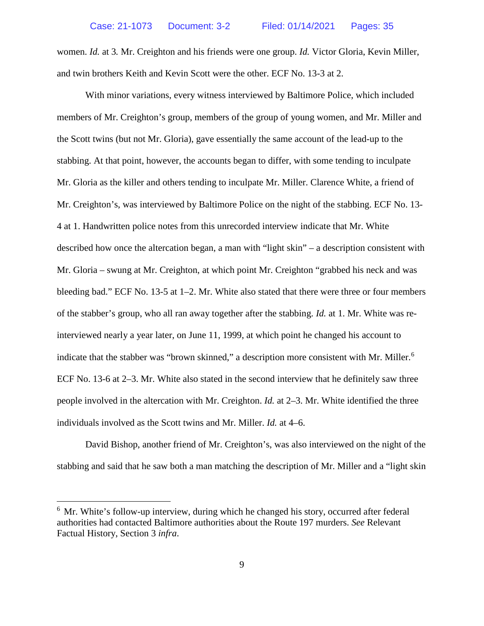women. *Id.* at 3*.* Mr. Creighton and his friends were one group. *Id.* Victor Gloria, Kevin Miller, and twin brothers Keith and Kevin Scott were the other. ECF No. 13-3 at 2.

With minor variations, every witness interviewed by Baltimore Police, which included members of Mr. Creighton's group, members of the group of young women, and Mr. Miller and the Scott twins (but not Mr. Gloria), gave essentially the same account of the lead-up to the stabbing. At that point, however, the accounts began to differ, with some tending to inculpate Mr. Gloria as the killer and others tending to inculpate Mr. Miller. Clarence White, a friend of Mr. Creighton's, was interviewed by Baltimore Police on the night of the stabbing. ECF No. 13- 4 at 1. Handwritten police notes from this unrecorded interview indicate that Mr. White described how once the altercation began, a man with "light skin" – a description consistent with Mr. Gloria – swung at Mr. Creighton, at which point Mr. Creighton "grabbed his neck and was bleeding bad." ECF No. 13-5 at 1–2. Mr. White also stated that there were three or four members of the stabber's group, who all ran away together after the stabbing. *Id.* at 1. Mr. White was reinterviewed nearly a year later, on June 11, 1999, at which point he changed his account to indicate that the stabber was "brown skinned," a description more consistent with Mr. Miller.<sup>[6](#page-11-0)</sup> ECF No. 13-6 at 2–3. Mr. White also stated in the second interview that he definitely saw three people involved in the altercation with Mr. Creighton. *Id.* at 2–3. Mr. White identified the three individuals involved as the Scott twins and Mr. Miller. *Id.* at 4–6.

David Bishop, another friend of Mr. Creighton's, was also interviewed on the night of the stabbing and said that he saw both a man matching the description of Mr. Miller and a "light skin

<span id="page-11-0"></span><sup>&</sup>lt;sup>6</sup> Mr. White's follow-up interview, during which he changed his story, occurred after federal authorities had contacted Baltimore authorities about the Route 197 murders. *See* Relevant Factual History, Section 3 *infra*.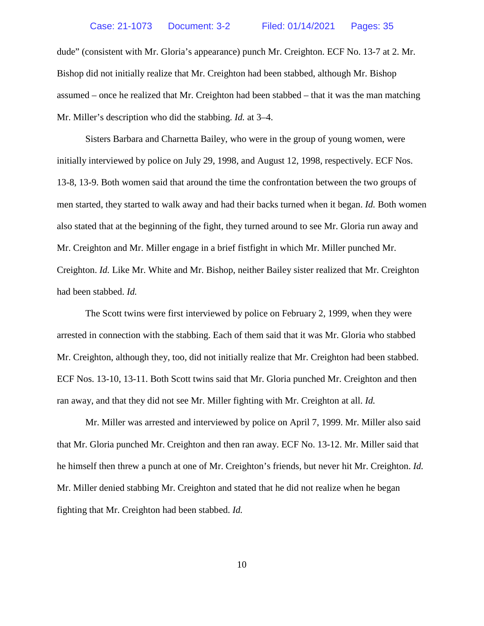dude" (consistent with Mr. Gloria's appearance) punch Mr. Creighton. ECF No. 13-7 at 2. Mr. Bishop did not initially realize that Mr. Creighton had been stabbed, although Mr. Bishop assumed – once he realized that Mr. Creighton had been stabbed – that it was the man matching Mr. Miller's description who did the stabbing. *Id.* at 3–4.

Sisters Barbara and Charnetta Bailey, who were in the group of young women, were initially interviewed by police on July 29, 1998, and August 12, 1998, respectively. ECF Nos. 13-8, 13-9. Both women said that around the time the confrontation between the two groups of men started, they started to walk away and had their backs turned when it began. *Id.* Both women also stated that at the beginning of the fight, they turned around to see Mr. Gloria run away and Mr. Creighton and Mr. Miller engage in a brief fistfight in which Mr. Miller punched Mr. Creighton. *Id.* Like Mr. White and Mr. Bishop, neither Bailey sister realized that Mr. Creighton had been stabbed. *Id.*

The Scott twins were first interviewed by police on February 2, 1999, when they were arrested in connection with the stabbing. Each of them said that it was Mr. Gloria who stabbed Mr. Creighton, although they, too, did not initially realize that Mr. Creighton had been stabbed. ECF Nos. 13-10, 13-11. Both Scott twins said that Mr. Gloria punched Mr. Creighton and then ran away, and that they did not see Mr. Miller fighting with Mr. Creighton at all. *Id.*

Mr. Miller was arrested and interviewed by police on April 7, 1999. Mr. Miller also said that Mr. Gloria punched Mr. Creighton and then ran away. ECF No. 13-12. Mr. Miller said that he himself then threw a punch at one of Mr. Creighton's friends, but never hit Mr. Creighton. *Id.*  Mr. Miller denied stabbing Mr. Creighton and stated that he did not realize when he began fighting that Mr. Creighton had been stabbed. *Id.*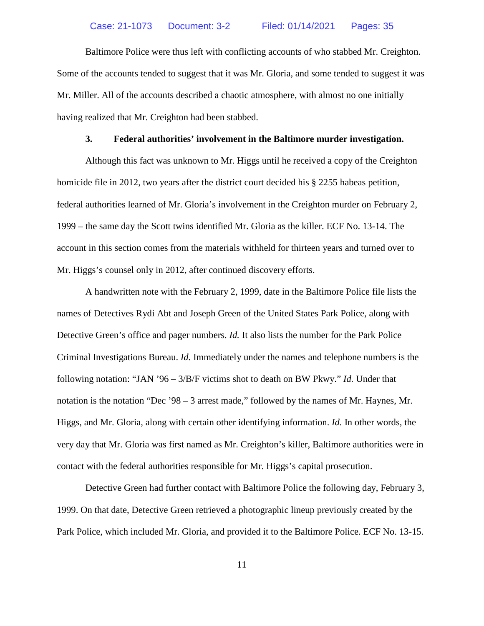Baltimore Police were thus left with conflicting accounts of who stabbed Mr. Creighton. Some of the accounts tended to suggest that it was Mr. Gloria, and some tended to suggest it was Mr. Miller. All of the accounts described a chaotic atmosphere, with almost no one initially having realized that Mr. Creighton had been stabbed.

#### **3. Federal authorities' involvement in the Baltimore murder investigation.**

Although this fact was unknown to Mr. Higgs until he received a copy of the Creighton homicide file in 2012, two years after the district court decided his § 2255 habeas petition, federal authorities learned of Mr. Gloria's involvement in the Creighton murder on February 2, 1999 – the same day the Scott twins identified Mr. Gloria as the killer. ECF No. 13-14. The account in this section comes from the materials withheld for thirteen years and turned over to Mr. Higgs's counsel only in 2012, after continued discovery efforts.

A handwritten note with the February 2, 1999, date in the Baltimore Police file lists the names of Detectives Rydi Abt and Joseph Green of the United States Park Police, along with Detective Green's office and pager numbers. *Id.* It also lists the number for the Park Police Criminal Investigations Bureau. *Id.* Immediately under the names and telephone numbers is the following notation: "JAN '96 – 3/B/F victims shot to death on BW Pkwy." *Id.* Under that notation is the notation "Dec '98 – 3 arrest made," followed by the names of Mr. Haynes, Mr. Higgs, and Mr. Gloria, along with certain other identifying information. *Id.* In other words, the very day that Mr. Gloria was first named as Mr. Creighton's killer, Baltimore authorities were in contact with the federal authorities responsible for Mr. Higgs's capital prosecution.

Detective Green had further contact with Baltimore Police the following day, February 3, 1999. On that date, Detective Green retrieved a photographic lineup previously created by the Park Police, which included Mr. Gloria, and provided it to the Baltimore Police. ECF No. 13-15.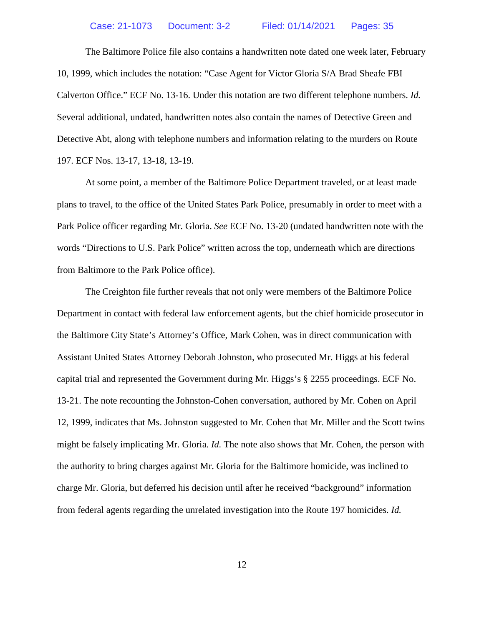The Baltimore Police file also contains a handwritten note dated one week later, February 10, 1999, which includes the notation: "Case Agent for Victor Gloria S/A Brad Sheafe FBI Calverton Office." ECF No. 13-16. Under this notation are two different telephone numbers. *Id.*  Several additional, undated, handwritten notes also contain the names of Detective Green and Detective Abt, along with telephone numbers and information relating to the murders on Route 197. ECF Nos. 13-17, 13-18, 13-19.

At some point, a member of the Baltimore Police Department traveled, or at least made plans to travel, to the office of the United States Park Police, presumably in order to meet with a Park Police officer regarding Mr. Gloria. *See* ECF No. 13-20 (undated handwritten note with the words "Directions to U.S. Park Police" written across the top, underneath which are directions from Baltimore to the Park Police office).

The Creighton file further reveals that not only were members of the Baltimore Police Department in contact with federal law enforcement agents, but the chief homicide prosecutor in the Baltimore City State's Attorney's Office, Mark Cohen, was in direct communication with Assistant United States Attorney Deborah Johnston, who prosecuted Mr. Higgs at his federal capital trial and represented the Government during Mr. Higgs's § 2255 proceedings. ECF No. 13-21. The note recounting the Johnston-Cohen conversation, authored by Mr. Cohen on April 12, 1999, indicates that Ms. Johnston suggested to Mr. Cohen that Mr. Miller and the Scott twins might be falsely implicating Mr. Gloria. *Id.* The note also shows that Mr. Cohen, the person with the authority to bring charges against Mr. Gloria for the Baltimore homicide, was inclined to charge Mr. Gloria, but deferred his decision until after he received "background" information from federal agents regarding the unrelated investigation into the Route 197 homicides. *Id.*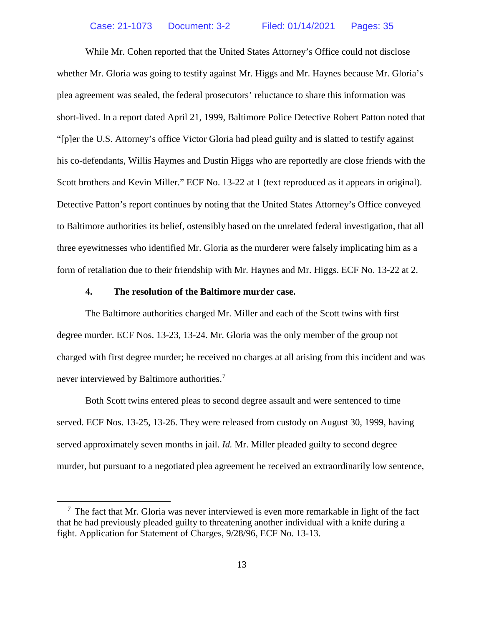While Mr. Cohen reported that the United States Attorney's Office could not disclose whether Mr. Gloria was going to testify against Mr. Higgs and Mr. Haynes because Mr. Gloria's plea agreement was sealed, the federal prosecutors' reluctance to share this information was short-lived. In a report dated April 21, 1999, Baltimore Police Detective Robert Patton noted that "[p]er the U.S. Attorney's office Victor Gloria had plead guilty and is slatted to testify against his co-defendants, Willis Haymes and Dustin Higgs who are reportedly are close friends with the Scott brothers and Kevin Miller." ECF No. 13-22 at 1 (text reproduced as it appears in original). Detective Patton's report continues by noting that the United States Attorney's Office conveyed to Baltimore authorities its belief, ostensibly based on the unrelated federal investigation, that all three eyewitnesses who identified Mr. Gloria as the murderer were falsely implicating him as a form of retaliation due to their friendship with Mr. Haynes and Mr. Higgs. ECF No. 13-22 at 2.

## **4. The resolution of the Baltimore murder case.**

The Baltimore authorities charged Mr. Miller and each of the Scott twins with first degree murder. ECF Nos. 13-23, 13-24. Mr. Gloria was the only member of the group not charged with first degree murder; he received no charges at all arising from this incident and was never interviewed by Baltimore authorities.<sup>[7](#page-15-0)</sup>

Both Scott twins entered pleas to second degree assault and were sentenced to time served. ECF Nos. 13-25, 13-26. They were released from custody on August 30, 1999, having served approximately seven months in jail. *Id.* Mr. Miller pleaded guilty to second degree murder, but pursuant to a negotiated plea agreement he received an extraordinarily low sentence,

<span id="page-15-0"></span> $<sup>7</sup>$  The fact that Mr. Gloria was never interviewed is even more remarkable in light of the fact</sup> that he had previously pleaded guilty to threatening another individual with a knife during a fight. Application for Statement of Charges, 9/28/96, ECF No. 13-13.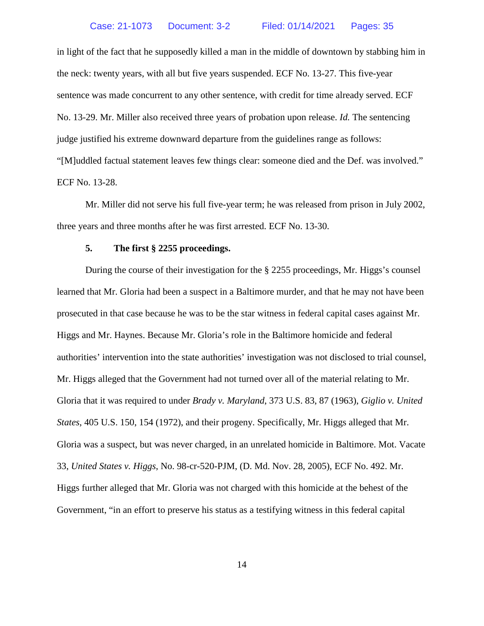in light of the fact that he supposedly killed a man in the middle of downtown by stabbing him in the neck: twenty years, with all but five years suspended. ECF No. 13-27. This five-year sentence was made concurrent to any other sentence, with credit for time already served. ECF No. 13-29. Mr. Miller also received three years of probation upon release. *Id.* The sentencing judge justified his extreme downward departure from the guidelines range as follows: "[M]uddled factual statement leaves few things clear: someone died and the Def. was involved." ECF No. 13-28.

Mr. Miller did not serve his full five-year term; he was released from prison in July 2002, three years and three months after he was first arrested. ECF No. 13-30.

#### **5. The first § 2255 proceedings.**

During the course of their investigation for the § 2255 proceedings, Mr. Higgs's counsel learned that Mr. Gloria had been a suspect in a Baltimore murder, and that he may not have been prosecuted in that case because he was to be the star witness in federal capital cases against Mr. Higgs and Mr. Haynes. Because Mr. Gloria's role in the Baltimore homicide and federal authorities' intervention into the state authorities' investigation was not disclosed to trial counsel, Mr. Higgs alleged that the Government had not turned over all of the material relating to Mr. Gloria that it was required to under *Brady v. Maryland*, 373 U.S. 83, 87 (1963), *Giglio v. United States*, 405 U.S. 150, 154 (1972), and their progeny. Specifically, Mr. Higgs alleged that Mr. Gloria was a suspect, but was never charged, in an unrelated homicide in Baltimore. Mot. Vacate 33, *United States v. Higgs*, No. 98-cr-520-PJM, (D. Md. Nov. 28, 2005), ECF No. 492. Mr. Higgs further alleged that Mr. Gloria was not charged with this homicide at the behest of the Government, "in an effort to preserve his status as a testifying witness in this federal capital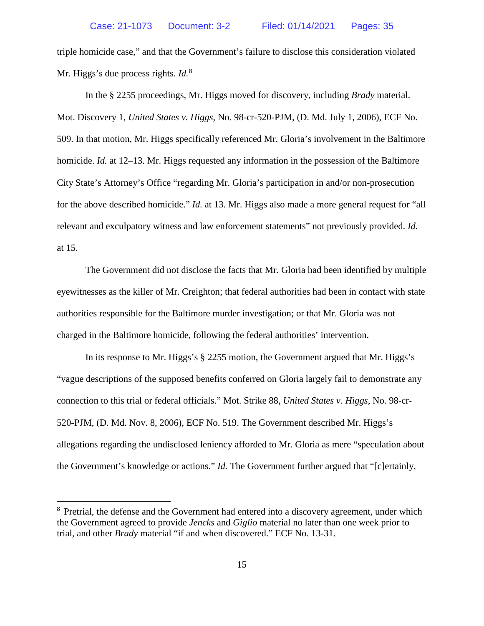triple homicide case," and that the Government's failure to disclose this consideration violated Mr. Higgs's due process rights. *Id.*<sup>[8](#page-17-0)</sup>

In the § 2255 proceedings, Mr. Higgs moved for discovery, including *Brady* material. Mot. Discovery 1, *United States v. Higgs*, No. 98-cr-520-PJM, (D. Md. July 1, 2006), ECF No. 509. In that motion, Mr. Higgs specifically referenced Mr. Gloria's involvement in the Baltimore homicide. *Id.* at 12–13. Mr. Higgs requested any information in the possession of the Baltimore City State's Attorney's Office "regarding Mr. Gloria's participation in and/or non-prosecution for the above described homicide." *Id.* at 13. Mr. Higgs also made a more general request for "all relevant and exculpatory witness and law enforcement statements" not previously provided. *Id.*  at 15.

The Government did not disclose the facts that Mr. Gloria had been identified by multiple eyewitnesses as the killer of Mr. Creighton; that federal authorities had been in contact with state authorities responsible for the Baltimore murder investigation; or that Mr. Gloria was not charged in the Baltimore homicide, following the federal authorities' intervention.

In its response to Mr. Higgs's § 2255 motion, the Government argued that Mr. Higgs's "vague descriptions of the supposed benefits conferred on Gloria largely fail to demonstrate any connection to this trial or federal officials." Mot. Strike 88, *United States v. Higgs*, No. 98-cr-520-PJM, (D. Md. Nov. 8, 2006), ECF No. 519. The Government described Mr. Higgs's allegations regarding the undisclosed leniency afforded to Mr. Gloria as mere "speculation about the Government's knowledge or actions." *Id.* The Government further argued that "[c]ertainly,

<span id="page-17-0"></span><sup>&</sup>lt;sup>8</sup> Pretrial, the defense and the Government had entered into a discovery agreement, under which the Government agreed to provide *Jencks* and *Giglio* material no later than one week prior to trial, and other *Brady* material "if and when discovered." ECF No. 13-31.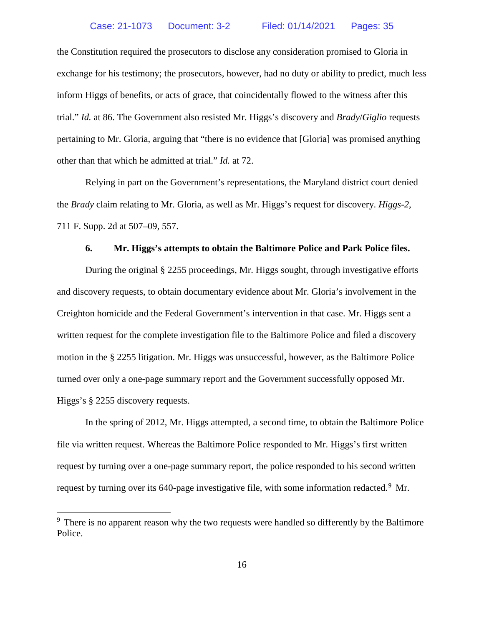the Constitution required the prosecutors to disclose any consideration promised to Gloria in exchange for his testimony; the prosecutors, however, had no duty or ability to predict, much less inform Higgs of benefits, or acts of grace, that coincidentally flowed to the witness after this trial." *Id.* at 86. The Government also resisted Mr. Higgs's discovery and *Brady*/*Giglio* requests pertaining to Mr. Gloria, arguing that "there is no evidence that [Gloria] was promised anything other than that which he admitted at trial." *Id.* at 72.

Relying in part on the Government's representations, the Maryland district court denied the *Brady* claim relating to Mr. Gloria, as well as Mr. Higgs's request for discovery. *Higgs-2*, 711 F. Supp. 2d at 507–09, 557.

#### **6. Mr. Higgs's attempts to obtain the Baltimore Police and Park Police files.**

During the original § 2255 proceedings, Mr. Higgs sought, through investigative efforts and discovery requests, to obtain documentary evidence about Mr. Gloria's involvement in the Creighton homicide and the Federal Government's intervention in that case. Mr. Higgs sent a written request for the complete investigation file to the Baltimore Police and filed a discovery motion in the § 2255 litigation. Mr. Higgs was unsuccessful, however, as the Baltimore Police turned over only a one-page summary report and the Government successfully opposed Mr. Higgs's § 2255 discovery requests.

In the spring of 2012, Mr. Higgs attempted, a second time, to obtain the Baltimore Police file via written request. Whereas the Baltimore Police responded to Mr. Higgs's first written request by turning over a one-page summary report, the police responded to his second written request by turning over its 640-page investigative file, with some information redacted.<sup>[9](#page-18-0)</sup> Mr.

<span id="page-18-0"></span><sup>&</sup>lt;sup>9</sup> There is no apparent reason why the two requests were handled so differently by the Baltimore Police.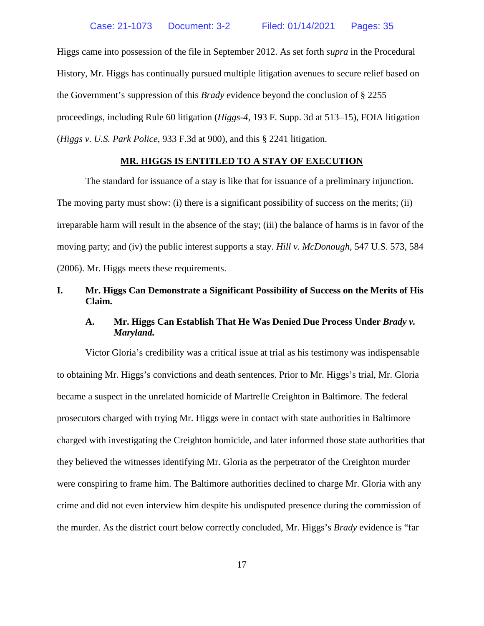Higgs came into possession of the file in September 2012. As set forth *supra* in the Procedural History, Mr. Higgs has continually pursued multiple litigation avenues to secure relief based on the Government's suppression of this *Brady* evidence beyond the conclusion of § 2255 proceedings, including Rule 60 litigation (*Higgs*-*4*, 193 F. Supp. 3d at 513–15), FOIA litigation (*Higgs v. U.S. Park Police*, 933 F.3d at 900), and this § 2241 litigation.

#### **MR. HIGGS IS ENTITLED TO A STAY OF EXECUTION**

<span id="page-19-0"></span>The standard for issuance of a stay is like that for issuance of a preliminary injunction. The moving party must show: (i) there is a significant possibility of success on the merits; (ii) irreparable harm will result in the absence of the stay; (iii) the balance of harms is in favor of the moving party; and (iv) the public interest supports a stay. *Hill v. McDonough*, 547 U.S. 573, 584 (2006). Mr. Higgs meets these requirements.

## <span id="page-19-2"></span><span id="page-19-1"></span>**I. Mr. Higgs Can Demonstrate a Significant Possibility of Success on the Merits of His Claim.**

## **A. Mr. Higgs Can Establish That He Was Denied Due Process Under** *Brady v. Maryland.*

Victor Gloria's credibility was a critical issue at trial as his testimony was indispensable to obtaining Mr. Higgs's convictions and death sentences. Prior to Mr. Higgs's trial, Mr. Gloria became a suspect in the unrelated homicide of Martrelle Creighton in Baltimore. The federal prosecutors charged with trying Mr. Higgs were in contact with state authorities in Baltimore charged with investigating the Creighton homicide, and later informed those state authorities that they believed the witnesses identifying Mr. Gloria as the perpetrator of the Creighton murder were conspiring to frame him. The Baltimore authorities declined to charge Mr. Gloria with any crime and did not even interview him despite his undisputed presence during the commission of the murder. As the district court below correctly concluded, Mr. Higgs's *Brady* evidence is "far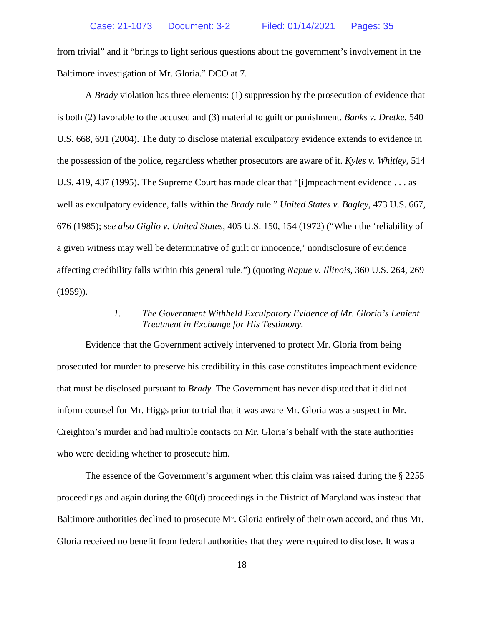from trivial" and it "brings to light serious questions about the government's involvement in the Baltimore investigation of Mr. Gloria." DCO at 7.

A *Brady* violation has three elements: (1) suppression by the prosecution of evidence that is both (2) favorable to the accused and (3) material to guilt or punishment. *Banks v. Dretke*, 540 U.S. 668, 691 (2004). The duty to disclose material exculpatory evidence extends to evidence in the possession of the police, regardless whether prosecutors are aware of it. *Kyles v. Whitley*, 514 U.S. 419, 437 (1995). The Supreme Court has made clear that "[i]mpeachment evidence . . . as well as exculpatory evidence, falls within the *Brady* rule." *United States v. Bagley*, 473 U.S. 667, 676 (1985); *see also Giglio v. United States*, 405 U.S. 150, 154 (1972) ("When the 'reliability of a given witness may well be determinative of guilt or innocence,' nondisclosure of evidence affecting credibility falls within this general rule.") (quoting *Napue v. Illinois*, 360 U.S. 264, 269  $(1959)$ ).

## *1. The Government Withheld Exculpatory Evidence of Mr. Gloria's Lenient Treatment in Exchange for His Testimony.*

<span id="page-20-0"></span>Evidence that the Government actively intervened to protect Mr. Gloria from being prosecuted for murder to preserve his credibility in this case constitutes impeachment evidence that must be disclosed pursuant to *Brady.* The Government has never disputed that it did not inform counsel for Mr. Higgs prior to trial that it was aware Mr. Gloria was a suspect in Mr. Creighton's murder and had multiple contacts on Mr. Gloria's behalf with the state authorities who were deciding whether to prosecute him.

The essence of the Government's argument when this claim was raised during the § 2255 proceedings and again during the 60(d) proceedings in the District of Maryland was instead that Baltimore authorities declined to prosecute Mr. Gloria entirely of their own accord, and thus Mr. Gloria received no benefit from federal authorities that they were required to disclose. It was a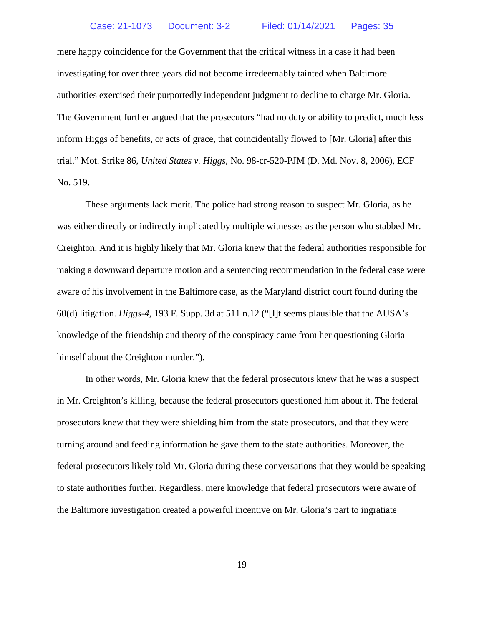mere happy coincidence for the Government that the critical witness in a case it had been investigating for over three years did not become irredeemably tainted when Baltimore authorities exercised their purportedly independent judgment to decline to charge Mr. Gloria. The Government further argued that the prosecutors "had no duty or ability to predict, much less inform Higgs of benefits, or acts of grace, that coincidentally flowed to [Mr. Gloria] after this trial." Mot. Strike 86, *United States v. Higgs*, No. 98-cr-520-PJM (D. Md. Nov. 8, 2006), ECF No. 519.

These arguments lack merit. The police had strong reason to suspect Mr. Gloria, as he was either directly or indirectly implicated by multiple witnesses as the person who stabbed Mr. Creighton. And it is highly likely that Mr. Gloria knew that the federal authorities responsible for making a downward departure motion and a sentencing recommendation in the federal case were aware of his involvement in the Baltimore case, as the Maryland district court found during the 60(d) litigation. *Higgs-4*, 193 F. Supp. 3d at 511 n.12 ("[I]t seems plausible that the AUSA's knowledge of the friendship and theory of the conspiracy came from her questioning Gloria himself about the Creighton murder.").

In other words, Mr. Gloria knew that the federal prosecutors knew that he was a suspect in Mr. Creighton's killing, because the federal prosecutors questioned him about it. The federal prosecutors knew that they were shielding him from the state prosecutors, and that they were turning around and feeding information he gave them to the state authorities. Moreover, the federal prosecutors likely told Mr. Gloria during these conversations that they would be speaking to state authorities further. Regardless, mere knowledge that federal prosecutors were aware of the Baltimore investigation created a powerful incentive on Mr. Gloria's part to ingratiate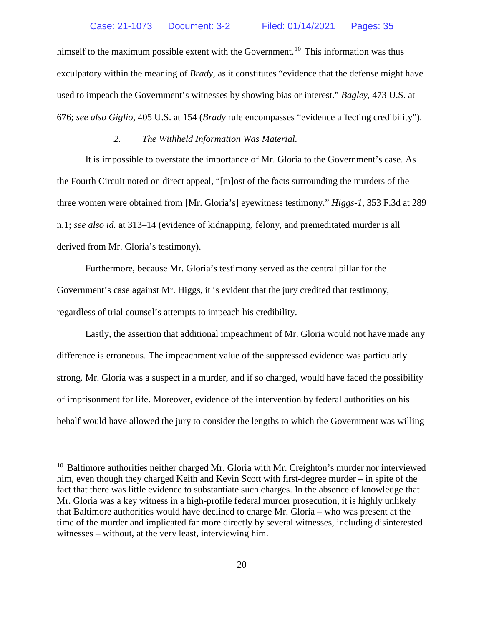himself to the maximum possible extent with the Government.<sup>[10](#page-22-1)</sup> This information was thus exculpatory within the meaning of *Brady*, as it constitutes "evidence that the defense might have used to impeach the Government's witnesses by showing bias or interest." *Bagley*, 473 U.S. at 676; *see also Giglio*, 405 U.S. at 154 (*Brady* rule encompasses "evidence affecting credibility").

## *2. The Withheld Information Was Material.*

<span id="page-22-0"></span>It is impossible to overstate the importance of Mr. Gloria to the Government's case. As the Fourth Circuit noted on direct appeal, "[m]ost of the facts surrounding the murders of the three women were obtained from [Mr. Gloria's] eyewitness testimony." *Higgs-1*, 353 F.3d at 289 n.1; *see also id.* at 313–14 (evidence of kidnapping, felony, and premeditated murder is all derived from Mr. Gloria's testimony).

Furthermore, because Mr. Gloria's testimony served as the central pillar for the Government's case against Mr. Higgs, it is evident that the jury credited that testimony, regardless of trial counsel's attempts to impeach his credibility.

Lastly, the assertion that additional impeachment of Mr. Gloria would not have made any difference is erroneous. The impeachment value of the suppressed evidence was particularly strong. Mr. Gloria was a suspect in a murder, and if so charged, would have faced the possibility of imprisonment for life. Moreover, evidence of the intervention by federal authorities on his behalf would have allowed the jury to consider the lengths to which the Government was willing

<span id="page-22-1"></span><sup>&</sup>lt;sup>10</sup> Baltimore authorities neither charged Mr. Gloria with Mr. Creighton's murder nor interviewed him, even though they charged Keith and Kevin Scott with first-degree murder – in spite of the fact that there was little evidence to substantiate such charges. In the absence of knowledge that Mr. Gloria was a key witness in a high-profile federal murder prosecution, it is highly unlikely that Baltimore authorities would have declined to charge Mr. Gloria – who was present at the time of the murder and implicated far more directly by several witnesses, including disinterested witnesses – without, at the very least, interviewing him.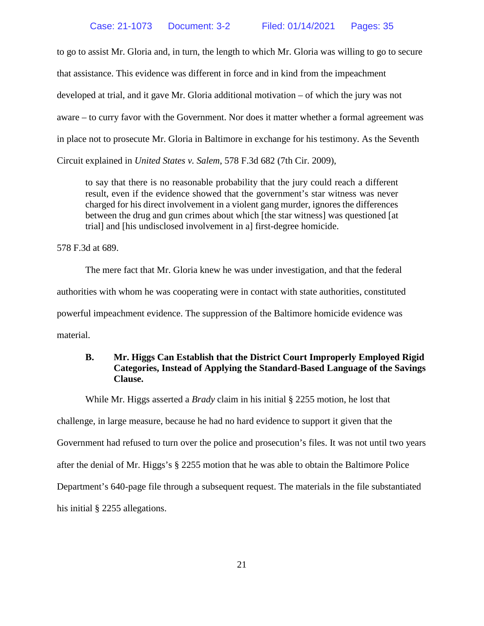to go to assist Mr. Gloria and, in turn, the length to which Mr. Gloria was willing to go to secure that assistance. This evidence was different in force and in kind from the impeachment developed at trial, and it gave Mr. Gloria additional motivation – of which the jury was not aware – to curry favor with the Government. Nor does it matter whether a formal agreement was in place not to prosecute Mr. Gloria in Baltimore in exchange for his testimony. As the Seventh Circuit explained in *United States v. Salem*, 578 F.3d 682 (7th Cir. 2009),

to say that there is no reasonable probability that the jury could reach a different result, even if the evidence showed that the government's star witness was never charged for his direct involvement in a violent gang murder, ignores the differences between the drug and gun crimes about which [the star witness] was questioned [at trial] and [his undisclosed involvement in a] first-degree homicide.

578 F.3d at 689.

The mere fact that Mr. Gloria knew he was under investigation, and that the federal authorities with whom he was cooperating were in contact with state authorities, constituted powerful impeachment evidence. The suppression of the Baltimore homicide evidence was material.

## <span id="page-23-0"></span>**B. Mr. Higgs Can Establish that the District Court Improperly Employed Rigid Categories, Instead of Applying the Standard-Based Language of the Savings Clause.**

While Mr. Higgs asserted a *Brady* claim in his initial § 2255 motion, he lost that challenge, in large measure, because he had no hard evidence to support it given that the Government had refused to turn over the police and prosecution's files. It was not until two years after the denial of Mr. Higgs's § 2255 motion that he was able to obtain the Baltimore Police Department's 640-page file through a subsequent request. The materials in the file substantiated his initial § 2255 allegations.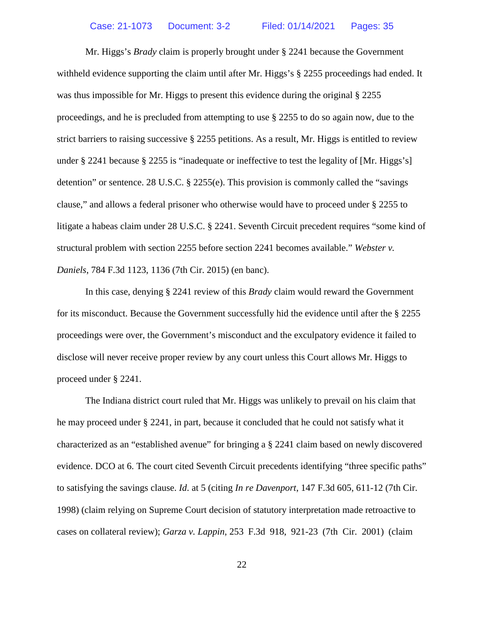Mr. Higgs's *Brady* claim is properly brought under § 2241 because the Government withheld evidence supporting the claim until after Mr. Higgs's § 2255 proceedings had ended. It was thus impossible for Mr. Higgs to present this evidence during the original  $\S 2255$ proceedings, and he is precluded from attempting to use § 2255 to do so again now, due to the strict barriers to raising successive § 2255 petitions. As a result, Mr. Higgs is entitled to review under § 2241 because § 2255 is "inadequate or ineffective to test the legality of [Mr. Higgs's] detention" or sentence. 28 U.S.C. § 2255(e). This provision is commonly called the "savings clause," and allows a federal prisoner who otherwise would have to proceed under § 2255 to litigate a habeas claim under 28 U.S.C. § 2241. Seventh Circuit precedent requires "some kind of structural problem with section 2255 before section 2241 becomes available." *Webster v. Daniels*, 784 F.3d 1123, 1136 (7th Cir. 2015) (en banc).

In this case, denying § 2241 review of this *Brady* claim would reward the Government for its misconduct. Because the Government successfully hid the evidence until after the § 2255 proceedings were over, the Government's misconduct and the exculpatory evidence it failed to disclose will never receive proper review by any court unless this Court allows Mr. Higgs to proceed under § 2241.

The Indiana district court ruled that Mr. Higgs was unlikely to prevail on his claim that he may proceed under § 2241, in part, because it concluded that he could not satisfy what it characterized as an "established avenue" for bringing a § 2241 claim based on newly discovered evidence. DCO at 6. The court cited Seventh Circuit precedents identifying "three specific paths" to satisfying the savings clause. *Id*. at 5 (citing *In re Davenport*, 147 F.3d 605, 611-12 (7th Cir. 1998) (claim relying on Supreme Court decision of statutory interpretation made retroactive to cases on collateral review); *Garza v. Lappin*, 253 F.3d 918, 921-23 (7th Cir. 2001) (claim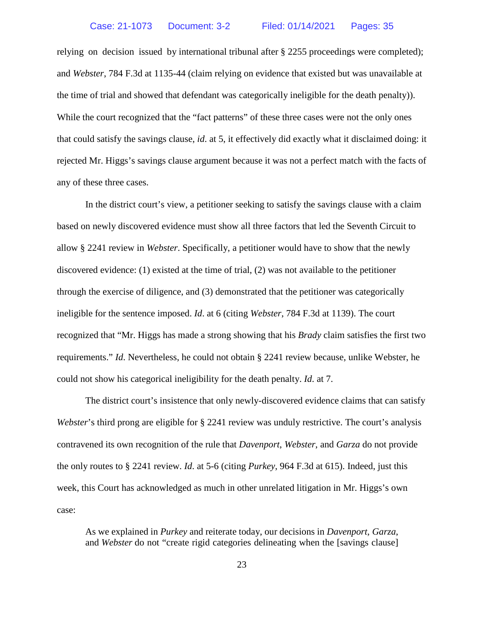relying on decision issued by international tribunal after § 2255 proceedings were completed); and *Webster*, 784 F.3d at 1135-44 (claim relying on evidence that existed but was unavailable at the time of trial and showed that defendant was categorically ineligible for the death penalty)). While the court recognized that the "fact patterns" of these three cases were not the only ones that could satisfy the savings clause, *id*. at 5, it effectively did exactly what it disclaimed doing: it rejected Mr. Higgs's savings clause argument because it was not a perfect match with the facts of any of these three cases.

In the district court's view, a petitioner seeking to satisfy the savings clause with a claim based on newly discovered evidence must show all three factors that led the Seventh Circuit to allow § 2241 review in *Webster*. Specifically, a petitioner would have to show that the newly discovered evidence: (1) existed at the time of trial, (2) was not available to the petitioner through the exercise of diligence, and (3) demonstrated that the petitioner was categorically ineligible for the sentence imposed. *Id*. at 6 (citing *Webster*, 784 F.3d at 1139). The court recognized that "Mr. Higgs has made a strong showing that his *Brady* claim satisfies the first two requirements." *Id*. Nevertheless, he could not obtain § 2241 review because, unlike Webster, he could not show his categorical ineligibility for the death penalty. *Id*. at 7.

The district court's insistence that only newly-discovered evidence claims that can satisfy *Webster*'s third prong are eligible for § 2241 review was unduly restrictive. The court's analysis contravened its own recognition of the rule that *Davenport*, *Webster*, and *Garza* do not provide the only routes to § 2241 review. *Id*. at 5-6 (citing *Purkey*, 964 F.3d at 615). Indeed, just this week, this Court has acknowledged as much in other unrelated litigation in Mr. Higgs's own case:

As we explained in *Purkey* and reiterate today, our decisions in *Davenport*, *Garza*, and *Webster* do not "create rigid categories delineating when the [savings clause]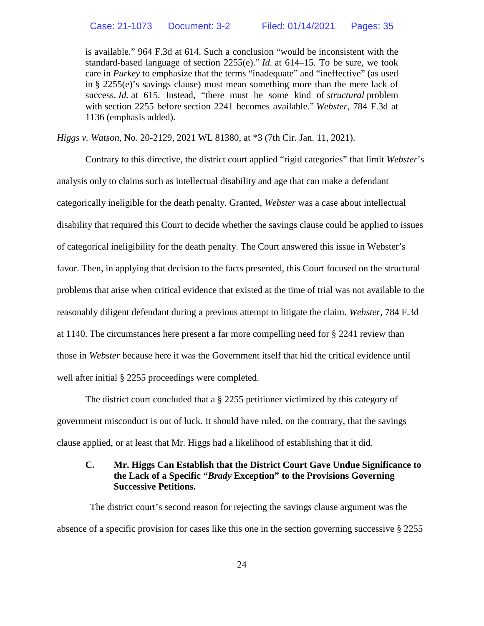is available." 964 F.3d at 614. Such a conclusion "would be inconsistent with the standard-based language of section 2255(e)." *Id.* at 614–15. To be sure, we took care in *Purkey* to emphasize that the terms "inadequate" and "ineffective" (as used in § 2255(e)'s savings clause) must mean something more than the mere lack of success. *Id.* at 615. Instead, "there must be some kind of *structural* problem with section 2255 before section 2241 becomes available." *Webster*, 784 F.3d at 1136 (emphasis added).

*Higgs v. Watson*, No. 20-2129, 2021 WL 81380, at \*3 (7th Cir. Jan. 11, 2021).

Contrary to this directive, the district court applied "rigid categories" that limit *Webster*'s analysis only to claims such as intellectual disability and age that can make a defendant categorically ineligible for the death penalty. Granted, *Webster* was a case about intellectual disability that required this Court to decide whether the savings clause could be applied to issues of categorical ineligibility for the death penalty. The Court answered this issue in Webster's favor. Then, in applying that decision to the facts presented, this Court focused on the structural problems that arise when critical evidence that existed at the time of trial was not available to the reasonably diligent defendant during a previous attempt to litigate the claim. *Webster,* 784 F.3d at 1140. The circumstances here present a far more compelling need for § 2241 review than those in *Webster* because here it was the Government itself that hid the critical evidence until well after initial § 2255 proceedings were completed.

The district court concluded that a § 2255 petitioner victimized by this category of government misconduct is out of luck. It should have ruled, on the contrary, that the savings clause applied, or at least that Mr. Higgs had a likelihood of establishing that it did.

## <span id="page-26-0"></span>**C. Mr. Higgs Can Establish that the District Court Gave Undue Significance to the Lack of a Specific "***Brady* **Exception" to the Provisions Governing Successive Petitions.**

The district court's second reason for rejecting the savings clause argument was the absence of a specific provision for cases like this one in the section governing successive § 2255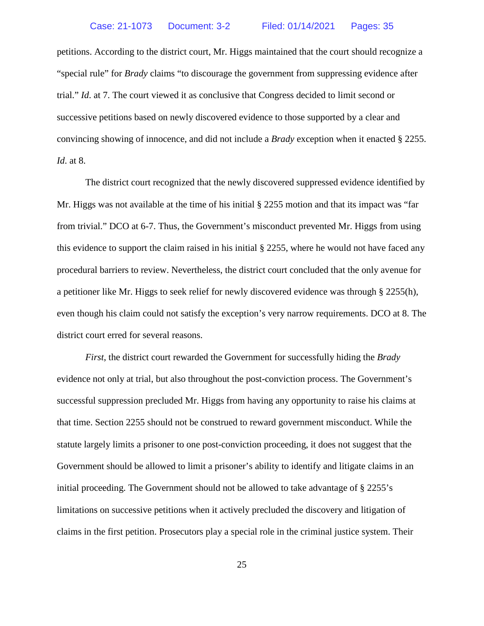petitions. According to the district court, Mr. Higgs maintained that the court should recognize a "special rule" for *Brady* claims "to discourage the government from suppressing evidence after trial." *Id*. at 7. The court viewed it as conclusive that Congress decided to limit second or successive petitions based on newly discovered evidence to those supported by a clear and convincing showing of innocence, and did not include a *Brady* exception when it enacted § 2255. *Id*. at 8.

The district court recognized that the newly discovered suppressed evidence identified by Mr. Higgs was not available at the time of his initial § 2255 motion and that its impact was "far from trivial." DCO at 6-7. Thus, the Government's misconduct prevented Mr. Higgs from using this evidence to support the claim raised in his initial § 2255, where he would not have faced any procedural barriers to review. Nevertheless, the district court concluded that the only avenue for a petitioner like Mr. Higgs to seek relief for newly discovered evidence was through § 2255(h), even though his claim could not satisfy the exception's very narrow requirements. DCO at 8. The district court erred for several reasons.

*First*, the district court rewarded the Government for successfully hiding the *Brady* evidence not only at trial, but also throughout the post-conviction process. The Government's successful suppression precluded Mr. Higgs from having any opportunity to raise his claims at that time. Section 2255 should not be construed to reward government misconduct. While the statute largely limits a prisoner to one post-conviction proceeding, it does not suggest that the Government should be allowed to limit a prisoner's ability to identify and litigate claims in an initial proceeding. The Government should not be allowed to take advantage of § 2255's limitations on successive petitions when it actively precluded the discovery and litigation of claims in the first petition. Prosecutors play a special role in the criminal justice system. Their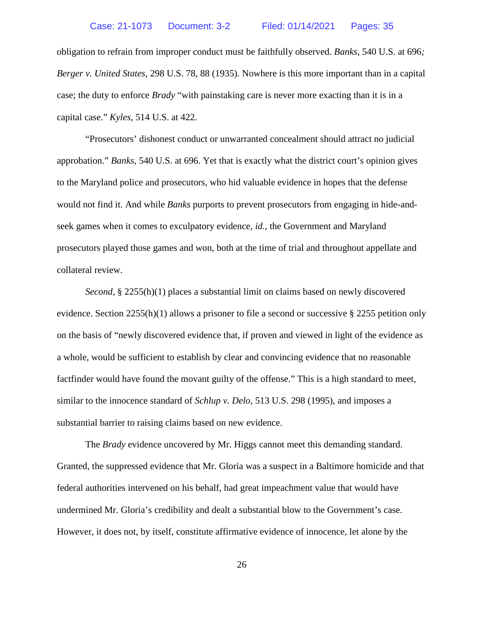obligation to refrain from improper conduct must be faithfully observed. *Banks*, 540 U.S. at 696*; Berger v. United States,* 298 U.S. 78, 88 (1935). Nowhere is this more important than in a capital case; the duty to enforce *Brady* "with painstaking care is never more exacting than it is in a capital case." *Kyles*, 514 U.S. at 422.

"Prosecutors' dishonest conduct or unwarranted concealment should attract no judicial approbation." *Banks*, 540 U.S. at 696. Yet that is exactly what the district court's opinion gives to the Maryland police and prosecutors, who hid valuable evidence in hopes that the defense would not find it. And while *Banks* purports to prevent prosecutors from engaging in hide-andseek games when it comes to exculpatory evidence, *id.*, the Government and Maryland prosecutors played those games and won, both at the time of trial and throughout appellate and collateral review.

*Second*, § 2255(h)(1) places a substantial limit on claims based on newly discovered evidence. Section 2255(h)(1) allows a prisoner to file a second or successive § 2255 petition only on the basis of "newly discovered evidence that, if proven and viewed in light of the evidence as a whole, would be sufficient to establish by clear and convincing evidence that no reasonable factfinder would have found the movant guilty of the offense." This is a high standard to meet, similar to the innocence standard of *Schlup v. Delo*, 513 U.S. 298 (1995), and imposes a substantial barrier to raising claims based on new evidence.

The *Brady* evidence uncovered by Mr. Higgs cannot meet this demanding standard. Granted, the suppressed evidence that Mr. Gloria was a suspect in a Baltimore homicide and that federal authorities intervened on his behalf, had great impeachment value that would have undermined Mr. Gloria's credibility and dealt a substantial blow to the Government's case. However, it does not, by itself, constitute affirmative evidence of innocence, let alone by the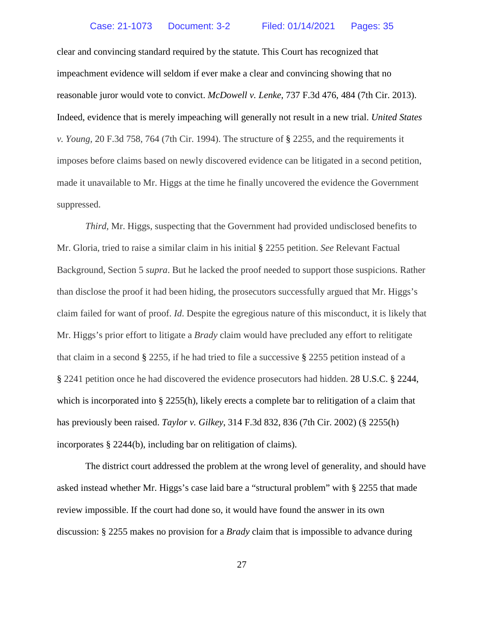clear and convincing standard required by the statute. This Court has recognized that impeachment evidence will seldom if ever make a clear and convincing showing that no reasonable juror would vote to convict. *McDowell v. Lenke*, 737 F.3d 476, 484 (7th Cir. 2013). Indeed, evidence that is merely impeaching will generally not result in a new trial. *United States v. Young,* 20 F.3d 758, 764 (7th Cir. 1994). The structure of § 2255, and the requirements it imposes before claims based on newly discovered evidence can be litigated in a second petition, made it unavailable to Mr. Higgs at the time he finally uncovered the evidence the Government suppressed.

*Third,* Mr. Higgs, suspecting that the Government had provided undisclosed benefits to Mr. Gloria, tried to raise a similar claim in his initial § 2255 petition. *See* Relevant Factual Background, Section 5 *supra*. But he lacked the proof needed to support those suspicions. Rather than disclose the proof it had been hiding, the prosecutors successfully argued that Mr. Higgs's claim failed for want of proof. *Id*. Despite the egregious nature of this misconduct, it is likely that Mr. Higgs's prior effort to litigate a *Brady* claim would have precluded any effort to relitigate that claim in a second § 2255, if he had tried to file a successive § 2255 petition instead of a § 2241 petition once he had discovered the evidence prosecutors had hidden. 28 U.S.C. § 2244, which is incorporated into § 2255(h), likely erects a complete bar to relitigation of a claim that has previously been raised. *Taylor v. Gilkey*, 314 F.3d 832, 836 (7th Cir. 2002) (§ 2255(h) incorporates § 2244(b), including bar on relitigation of claims).

The district court addressed the problem at the wrong level of generality, and should have asked instead whether Mr. Higgs's case laid bare a "structural problem" with § 2255 that made review impossible. If the court had done so, it would have found the answer in its own discussion: § 2255 makes no provision for a *Brady* claim that is impossible to advance during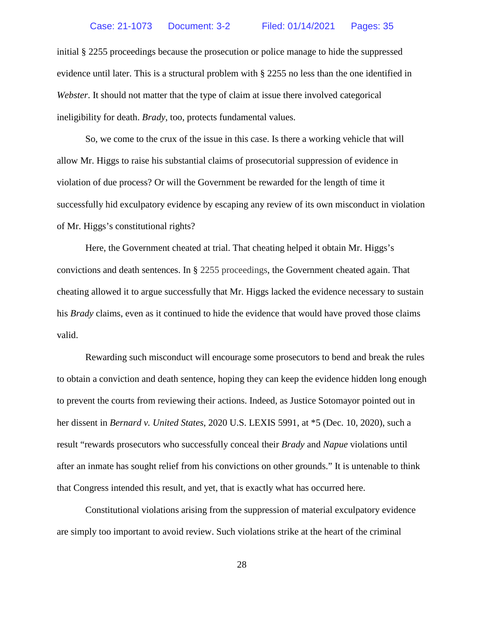initial § 2255 proceedings because the prosecution or police manage to hide the suppressed evidence until later. This is a structural problem with § 2255 no less than the one identified in *Webster*. It should not matter that the type of claim at issue there involved categorical ineligibility for death. *Brady*, too, protects fundamental values.

So, we come to the crux of the issue in this case. Is there a working vehicle that will allow Mr. Higgs to raise his substantial claims of prosecutorial suppression of evidence in violation of due process? Or will the Government be rewarded for the length of time it successfully hid exculpatory evidence by escaping any review of its own misconduct in violation of Mr. Higgs's constitutional rights?

Here, the Government cheated at trial. That cheating helped it obtain Mr. Higgs's convictions and death sentences. In § 2255 proceedings, the Government cheated again. That cheating allowed it to argue successfully that Mr. Higgs lacked the evidence necessary to sustain his *Brady* claims, even as it continued to hide the evidence that would have proved those claims valid.

Rewarding such misconduct will encourage some prosecutors to bend and break the rules to obtain a conviction and death sentence, hoping they can keep the evidence hidden long enough to prevent the courts from reviewing their actions. Indeed, as Justice Sotomayor pointed out in her dissent in *Bernard v. United States*, 2020 U.S. LEXIS 5991, at \*5 (Dec. 10, 2020), such a result "rewards prosecutors who successfully conceal their *Brady* and *Napue* violations until after an inmate has sought relief from his convictions on other grounds." It is untenable to think that Congress intended this result, and yet, that is exactly what has occurred here.

Constitutional violations arising from the suppression of material exculpatory evidence are simply too important to avoid review. Such violations strike at the heart of the criminal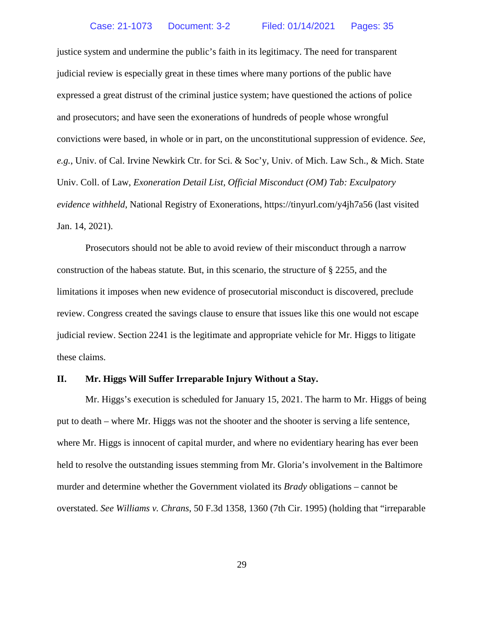justice system and undermine the public's faith in its legitimacy. The need for transparent judicial review is especially great in these times where many portions of the public have expressed a great distrust of the criminal justice system; have questioned the actions of police and prosecutors; and have seen the exonerations of hundreds of people whose wrongful convictions were based, in whole or in part, on the unconstitutional suppression of evidence. *See, e.g.*, Univ. of Cal. Irvine Newkirk Ctr. for Sci. & Soc'y, Univ. of Mich. Law Sch., & Mich. State Univ. Coll. of Law, *Exoneration Detail List, Official Misconduct (OM) Tab: Exculpatory evidence withheld*, National Registry of Exonerations, https://tinyurl.com/y4jh7a56 (last visited Jan. 14, 2021).

Prosecutors should not be able to avoid review of their misconduct through a narrow construction of the habeas statute. But, in this scenario, the structure of § 2255, and the limitations it imposes when new evidence of prosecutorial misconduct is discovered, preclude review. Congress created the savings clause to ensure that issues like this one would not escape judicial review. Section 2241 is the legitimate and appropriate vehicle for Mr. Higgs to litigate these claims.

#### <span id="page-31-0"></span>**II. Mr. Higgs Will Suffer Irreparable Injury Without a Stay.**

Mr. Higgs's execution is scheduled for January 15, 2021. The harm to Mr. Higgs of being put to death – where Mr. Higgs was not the shooter and the shooter is serving a life sentence, where Mr. Higgs is innocent of capital murder, and where no evidentiary hearing has ever been held to resolve the outstanding issues stemming from Mr. Gloria's involvement in the Baltimore murder and determine whether the Government violated its *Brady* obligations – cannot be overstated. *See Williams v. Chrans*, 50 F.3d 1358, 1360 (7th Cir. 1995) (holding that "irreparable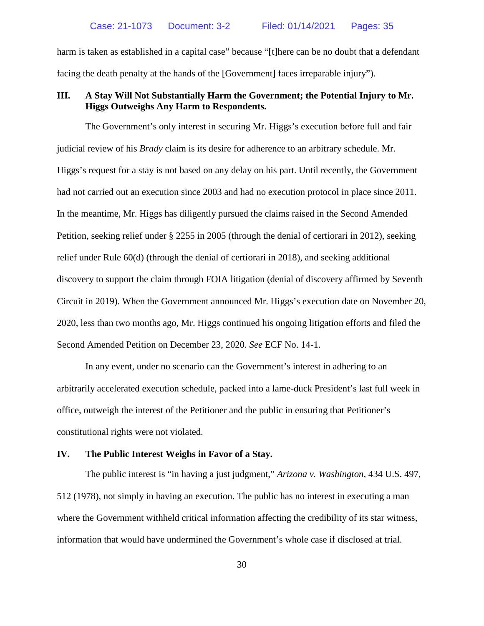harm is taken as established in a capital case" because "[t]here can be no doubt that a defendant facing the death penalty at the hands of the [Government] faces irreparable injury").

## <span id="page-32-0"></span>**III. A Stay Will Not Substantially Harm the Government; the Potential Injury to Mr. Higgs Outweighs Any Harm to Respondents.**

The Government's only interest in securing Mr. Higgs's execution before full and fair judicial review of his *Brady* claim is its desire for adherence to an arbitrary schedule. Mr. Higgs's request for a stay is not based on any delay on his part. Until recently, the Government had not carried out an execution since 2003 and had no execution protocol in place since 2011. In the meantime, Mr. Higgs has diligently pursued the claims raised in the Second Amended Petition, seeking relief under § 2255 in 2005 (through the denial of certiorari in 2012), seeking relief under Rule 60(d) (through the denial of certiorari in 2018), and seeking additional discovery to support the claim through FOIA litigation (denial of discovery affirmed by Seventh Circuit in 2019). When the Government announced Mr. Higgs's execution date on November 20, 2020, less than two months ago, Mr. Higgs continued his ongoing litigation efforts and filed the Second Amended Petition on December 23, 2020. *See* ECF No. 14-1.

In any event, under no scenario can the Government's interest in adhering to an arbitrarily accelerated execution schedule, packed into a lame-duck President's last full week in office, outweigh the interest of the Petitioner and the public in ensuring that Petitioner's constitutional rights were not violated.

## <span id="page-32-1"></span>**IV. The Public Interest Weighs in Favor of a Stay.**

The public interest is "in having a just judgment," *Arizona v. Washington*, 434 U.S. 497, 512 (1978), not simply in having an execution. The public has no interest in executing a man where the Government withheld critical information affecting the credibility of its star witness, information that would have undermined the Government's whole case if disclosed at trial.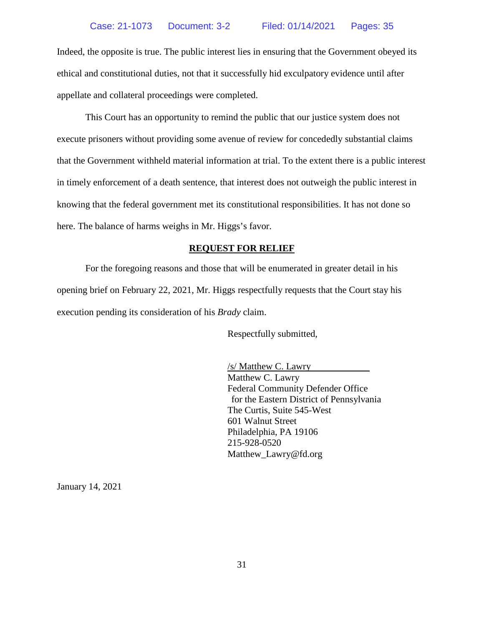Indeed, the opposite is true. The public interest lies in ensuring that the Government obeyed its ethical and constitutional duties, not that it successfully hid exculpatory evidence until after appellate and collateral proceedings were completed.

This Court has an opportunity to remind the public that our justice system does not execute prisoners without providing some avenue of review for concededly substantial claims that the Government withheld material information at trial. To the extent there is a public interest in timely enforcement of a death sentence, that interest does not outweigh the public interest in knowing that the federal government met its constitutional responsibilities. It has not done so here. The balance of harms weighs in Mr. Higgs's favor.

## **REQUEST FOR RELIEF**

<span id="page-33-0"></span>For the foregoing reasons and those that will be enumerated in greater detail in his opening brief on February 22, 2021, Mr. Higgs respectfully requests that the Court stay his execution pending its consideration of his *Brady* claim.

Respectfully submitted,

/s/ Matthew C. Lawry Matthew C. Lawry Federal Community Defender Office for the Eastern District of Pennsylvania The Curtis, Suite 545-West 601 Walnut Street Philadelphia, PA 19106 215-928-0520 Matthew\_Lawry@fd.org

January 14, 2021